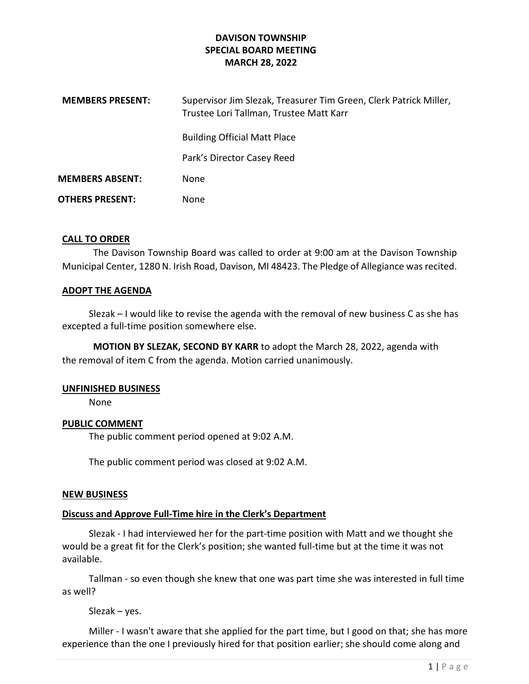| <b>MEMBERS PRESENT:</b> | Supervisor Jim Slezak, Treasurer Tim Green, Clerk Patrick Miller,<br>Trustee Lori Tallman, Trustee Matt Karr |
|-------------------------|--------------------------------------------------------------------------------------------------------------|
|                         | <b>Building Official Matt Place</b>                                                                          |
|                         | Park's Director Casey Reed                                                                                   |
| <b>MEMBERS ABSENT:</b>  | None                                                                                                         |
| <b>OTHERS PRESENT:</b>  | None                                                                                                         |

### CALL TO ORDER

The Davison Township Board was called to order at 9:00 am at the Davison Township Municipal Center, 1280 N. Irish Road, Davison, MI 48423. The Pledge of Allegiance was recited.

### ADOPT THE AGENDA

 Slezak – I would like to revise the agenda with the removal of new business C as she has excepted a full-time position somewhere else.

MOTION BY SLEZAK, SECOND BY KARR to adopt the March 28, 2022, agenda with the removal of item C from the agenda. Motion carried unanimously.

## UNFINISHED BUSINESS

None

## PUBLIC COMMENT

The public comment period opened at 9:02 A.M.

The public comment period was closed at 9:02 A.M.

### NEW BUSINESS

## Discuss and Approve Full-Time hire in the Clerk's Department

Slezak - I had interviewed her for the part-time position with Matt and we thought she would be a great fit for the Clerk's position; she wanted full-time but at the time it was not available.

 Tallman - so even though she knew that one was part time she was interested in full time as well?

Slezak – yes.

 Miller - I wasn't aware that she applied for the part time, but I good on that; she has more experience than the one I previously hired for that position earlier; she should come along and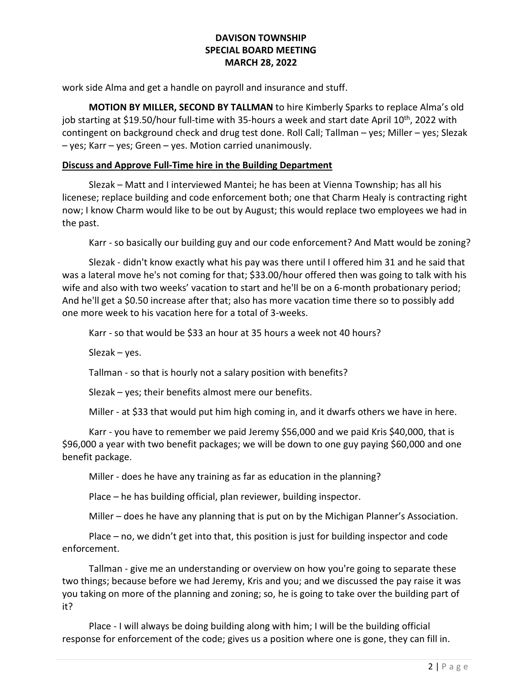work side Alma and get a handle on payroll and insurance and stuff.

MOTION BY MILLER, SECOND BY TALLMAN to hire Kimberly Sparks to replace Alma's old job starting at \$19.50/hour full-time with 35-hours a week and start date April 10<sup>th</sup>, 2022 with contingent on background check and drug test done. Roll Call; Tallman – yes; Miller – yes; Slezak – yes; Karr – yes; Green – yes. Motion carried unanimously.

### Discuss and Approve Full-Time hire in the Building Department

 Slezak – Matt and I interviewed Mantei; he has been at Vienna Township; has all his licenese; replace building and code enforcement both; one that Charm Healy is contracting right now; I know Charm would like to be out by August; this would replace two employees we had in the past.

Karr - so basically our building guy and our code enforcement? And Matt would be zoning?

 Slezak - didn't know exactly what his pay was there until I offered him 31 and he said that was a lateral move he's not coming for that; \$33.00/hour offered then was going to talk with his wife and also with two weeks' vacation to start and he'll be on a 6-month probationary period; And he'll get a \$0.50 increase after that; also has more vacation time there so to possibly add one more week to his vacation here for a total of 3-weeks.

Karr - so that would be \$33 an hour at 35 hours a week not 40 hours?

Slezak – yes.

Tallman - so that is hourly not a salary position with benefits?

Slezak – yes; their benefits almost mere our benefits.

Miller - at \$33 that would put him high coming in, and it dwarfs others we have in here.

 Karr - you have to remember we paid Jeremy \$56,000 and we paid Kris \$40,000, that is \$96,000 a year with two benefit packages; we will be down to one guy paying \$60,000 and one benefit package.

Miller - does he have any training as far as education in the planning?

Place – he has building official, plan reviewer, building inspector.

Miller – does he have any planning that is put on by the Michigan Planner's Association.

 Place – no, we didn't get into that, this position is just for building inspector and code enforcement.

 Tallman - give me an understanding or overview on how you're going to separate these two things; because before we had Jeremy, Kris and you; and we discussed the pay raise it was you taking on more of the planning and zoning; so, he is going to take over the building part of it?

 Place - I will always be doing building along with him; I will be the building official response for enforcement of the code; gives us a position where one is gone, they can fill in.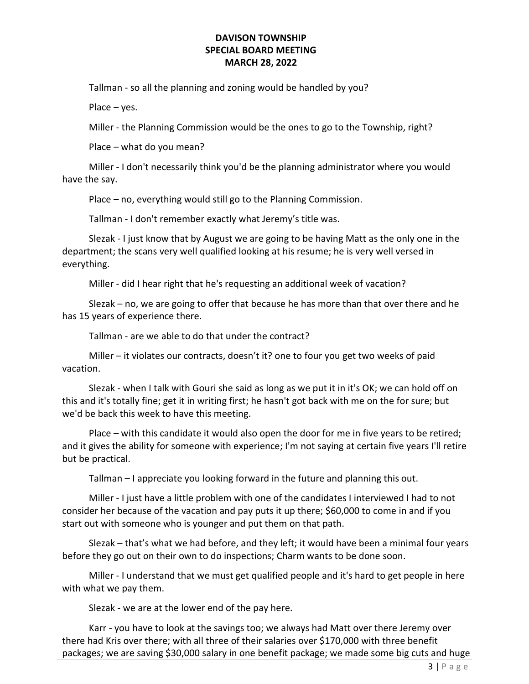Tallman - so all the planning and zoning would be handled by you?

Place – yes.

Miller - the Planning Commission would be the ones to go to the Township, right?

Place – what do you mean?

 Miller - I don't necessarily think you'd be the planning administrator where you would have the say.

Place – no, everything would still go to the Planning Commission.

Tallman - I don't remember exactly what Jeremy's title was.

 Slezak - I just know that by August we are going to be having Matt as the only one in the department; the scans very well qualified looking at his resume; he is very well versed in everything.

Miller - did I hear right that he's requesting an additional week of vacation?

 Slezak – no, we are going to offer that because he has more than that over there and he has 15 years of experience there.

Tallman - are we able to do that under the contract?

 Miller – it violates our contracts, doesn't it? one to four you get two weeks of paid vacation.

 Slezak - when I talk with Gouri she said as long as we put it in it's OK; we can hold off on this and it's totally fine; get it in writing first; he hasn't got back with me on the for sure; but we'd be back this week to have this meeting.

 Place – with this candidate it would also open the door for me in five years to be retired; and it gives the ability for someone with experience; I'm not saying at certain five years I'll retire but be practical.

Tallman – I appreciate you looking forward in the future and planning this out.

 Miller - I just have a little problem with one of the candidates I interviewed I had to not consider her because of the vacation and pay puts it up there; \$60,000 to come in and if you start out with someone who is younger and put them on that path.

 Slezak – that's what we had before, and they left; it would have been a minimal four years before they go out on their own to do inspections; Charm wants to be done soon.

 Miller - I understand that we must get qualified people and it's hard to get people in here with what we pay them.

Slezak - we are at the lower end of the pay here.

 Karr - you have to look at the savings too; we always had Matt over there Jeremy over there had Kris over there; with all three of their salaries over \$170,000 with three benefit packages; we are saving \$30,000 salary in one benefit package; we made some big cuts and huge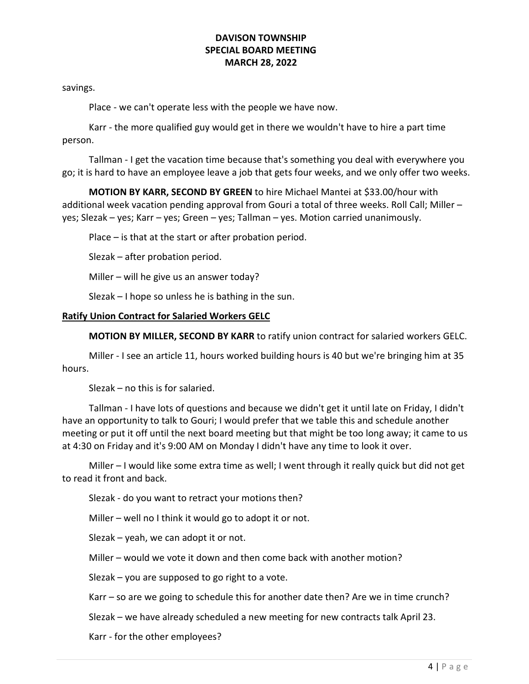savings.

Place - we can't operate less with the people we have now.

 Karr - the more qualified guy would get in there we wouldn't have to hire a part time person.

 Tallman - I get the vacation time because that's something you deal with everywhere you go; it is hard to have an employee leave a job that gets four weeks, and we only offer two weeks.

 MOTION BY KARR, SECOND BY GREEN to hire Michael Mantei at \$33.00/hour with additional week vacation pending approval from Gouri a total of three weeks. Roll Call; Miller – yes; Slezak – yes; Karr – yes; Green – yes; Tallman – yes. Motion carried unanimously.

Place – is that at the start or after probation period.

Slezak – after probation period.

Miller – will he give us an answer today?

Slezak – I hope so unless he is bathing in the sun.

### Ratify Union Contract for Salaried Workers GELC

MOTION BY MILLER, SECOND BY KARR to ratify union contract for salaried workers GELC.

 Miller - I see an article 11, hours worked building hours is 40 but we're bringing him at 35 hours.

Slezak – no this is for salaried.

 Tallman - I have lots of questions and because we didn't get it until late on Friday, I didn't have an opportunity to talk to Gouri; I would prefer that we table this and schedule another meeting or put it off until the next board meeting but that might be too long away; it came to us at 4:30 on Friday and it's 9:00 AM on Monday I didn't have any time to look it over.

 Miller – I would like some extra time as well; I went through it really quick but did not get to read it front and back.

Slezak - do you want to retract your motions then?

Miller – well no I think it would go to adopt it or not.

Slezak – yeah, we can adopt it or not.

Miller – would we vote it down and then come back with another motion?

Slezak – you are supposed to go right to a vote.

Karr – so are we going to schedule this for another date then? Are we in time crunch?

Slezak – we have already scheduled a new meeting for new contracts talk April 23.

Karr - for the other employees?